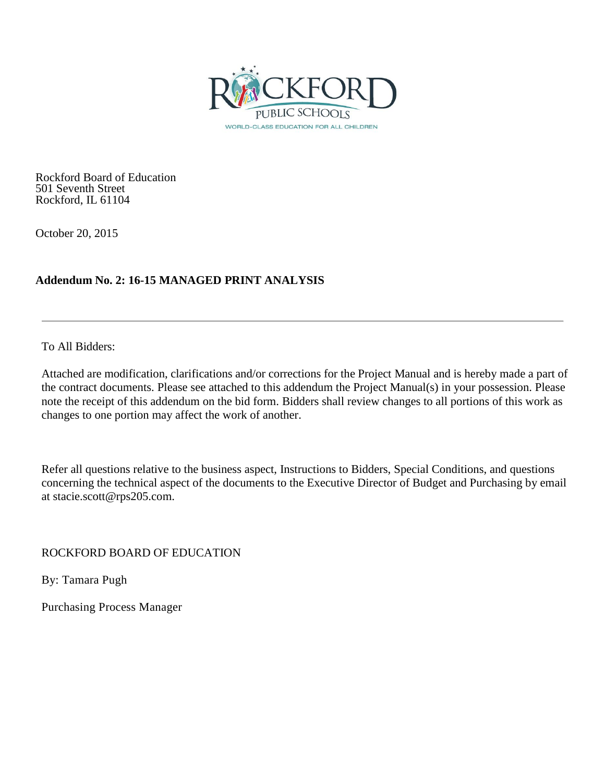

Rockford Board of Education 501 Seventh Street Rockford, IL 61104

October 20, 2015

# **Addendum No. 2: 16-15 MANAGED PRINT ANALYSIS**

To All Bidders:

Attached are modification, clarifications and/or corrections for the Project Manual and is hereby made a part of the contract documents. Please see attached to this addendum the Project Manual(s) in your possession. Please note the receipt of this addendum on the bid form. Bidders shall review changes to all portions of this work as changes to one portion may affect the work of another.

Refer all questions relative to the business aspect, Instructions to Bidders, Special Conditions, and questions concerning the technical aspect of the documents to the Executive Director of Budget and Purchasing by email at stacie.scott@rps205.com.

ROCKFORD BOARD OF EDUCATION

By: Tamara Pugh

Purchasing Process Manager